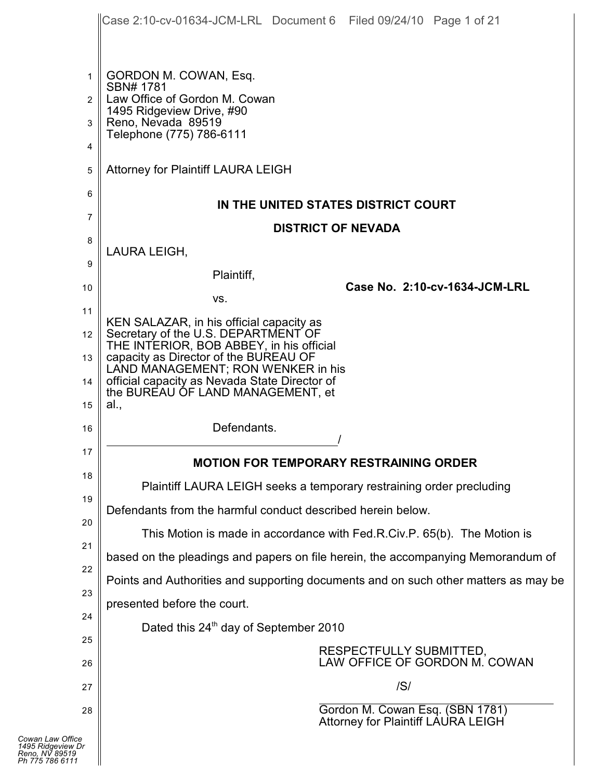|                                                                            | Case 2:10-cv-01634-JCM-LRL Document 6 Filed 09/24/10 Page 1 of 21                                                           |
|----------------------------------------------------------------------------|-----------------------------------------------------------------------------------------------------------------------------|
|                                                                            |                                                                                                                             |
| $\mathbf{1}$                                                               | GORDON M. COWAN, Esq.                                                                                                       |
| $\overline{2}$                                                             | SBN# 1781<br>Law Office of Gordon M. Cowan                                                                                  |
| 3                                                                          | 1495 Ridgeview Drive, #90<br>Reno, Nevada 89519                                                                             |
| 4                                                                          | Telephone (775) 786-6111                                                                                                    |
| 5                                                                          | Attorney for Plaintiff LAURA LEIGH                                                                                          |
| 6                                                                          | IN THE UNITED STATES DISTRICT COURT                                                                                         |
| 7                                                                          | <b>DISTRICT OF NEVADA</b>                                                                                                   |
| 8                                                                          | LAURA LEIGH,                                                                                                                |
| 9                                                                          | Plaintiff,                                                                                                                  |
| 10                                                                         | Case No. 2:10-cv-1634-JCM-LRL                                                                                               |
| 11                                                                         | VS.                                                                                                                         |
| 12 <sup>2</sup>                                                            | KEN SALAZAR, in his official capacity as<br>Secretary of the U.S. DEPARTMENT OF<br>THE INTERIOR, BOB ABBEY, in his official |
| 13                                                                         | capacity as Director of the BUREAU OF<br>LAND MANAGEMENT; RON WENKER in his                                                 |
| 14                                                                         | official capacity as Nevada State Director of<br>the BUREAU OF LAND MANAGEMENT, et                                          |
| 15                                                                         | al.,                                                                                                                        |
| 16                                                                         | Defendants.                                                                                                                 |
| 17                                                                         | <b>MOTION FOR TEMPORARY RESTRAINING ORDER</b>                                                                               |
| 18                                                                         | Plaintiff LAURA LEIGH seeks a temporary restraining order precluding                                                        |
| 19                                                                         | Defendants from the harmful conduct described herein below.                                                                 |
| 20                                                                         |                                                                                                                             |
| 21                                                                         | This Motion is made in accordance with Fed.R.Civ.P. 65(b). The Motion is                                                    |
| 22                                                                         | based on the pleadings and papers on file herein, the accompanying Memorandum of                                            |
| 23                                                                         | Points and Authorities and supporting documents and on such other matters as may be                                         |
| 24                                                                         | presented before the court.<br>Dated this 24 <sup>th</sup> day of September 2010                                            |
| 25                                                                         |                                                                                                                             |
| 26                                                                         | RESPECTFULLY SUBMITTED,<br>LAW OFFICE OF GORDON M. COWAN                                                                    |
| 27                                                                         | /S/                                                                                                                         |
| 28                                                                         | Gordon M. Cowan Esq. (SBN 1781)<br><b>Attorney for Plaintiff LAURA LEIGH</b>                                                |
| Cowan Law Office<br>1495 Ridgeview Dr<br>Reno. NV 89519<br>Ph 775 786 6111 |                                                                                                                             |

| 1495 Ridgeview Dr |
|-------------------|
| Reno, NV 89519    |
| Ph 775 786 6111   |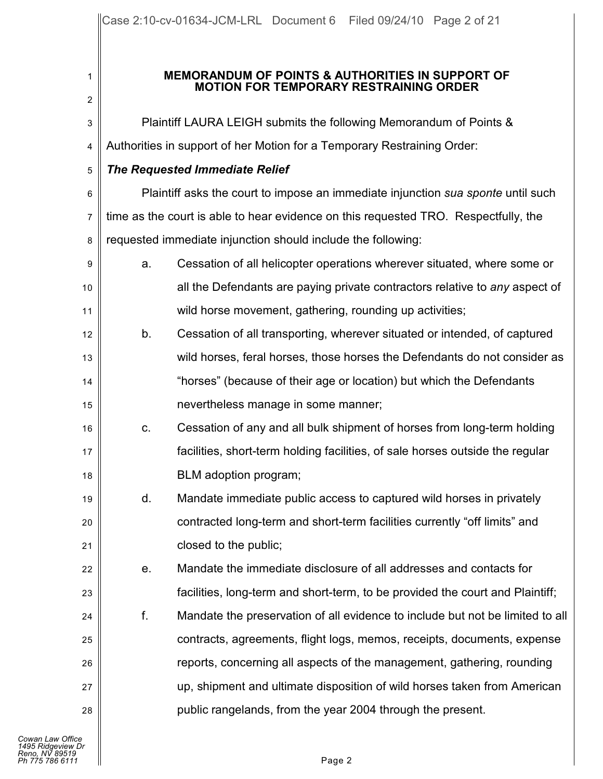## **MEMORANDUM OF POINTS & AUTHORITIES IN SUPPORT OF MOTION FOR TEMPORARY RESTRAINING ORDER**

| $\overline{c}$ |                                                                                     |                                                                               |  |
|----------------|-------------------------------------------------------------------------------------|-------------------------------------------------------------------------------|--|
| 3              |                                                                                     | Plaintiff LAURA LEIGH submits the following Memorandum of Points &            |  |
| 4              | Authorities in support of her Motion for a Temporary Restraining Order:             |                                                                               |  |
| 5              | <b>The Requested Immediate Relief</b>                                               |                                                                               |  |
| 6              | Plaintiff asks the court to impose an immediate injunction sua sponte until such    |                                                                               |  |
| 7              | time as the court is able to hear evidence on this requested TRO. Respectfully, the |                                                                               |  |
| 8              |                                                                                     | requested immediate injunction should include the following:                  |  |
| 9              | a.                                                                                  | Cessation of all helicopter operations wherever situated, where some or       |  |
| 10             |                                                                                     | all the Defendants are paying private contractors relative to any aspect of   |  |
| 11             |                                                                                     | wild horse movement, gathering, rounding up activities;                       |  |
| 12             | b.                                                                                  | Cessation of all transporting, wherever situated or intended, of captured     |  |
| 13             |                                                                                     | wild horses, feral horses, those horses the Defendants do not consider as     |  |
| 14             |                                                                                     | "horses" (because of their age or location) but which the Defendants          |  |
| 15             |                                                                                     | nevertheless manage in some manner;                                           |  |
| 16             | C.                                                                                  | Cessation of any and all bulk shipment of horses from long-term holding       |  |
| 17             |                                                                                     | facilities, short-term holding facilities, of sale horses outside the regular |  |
| 18             |                                                                                     | BLM adoption program;                                                         |  |
| 19             | d.                                                                                  | Mandate immediate public access to captured wild horses in privately          |  |
| 20             |                                                                                     | contracted long-term and short-term facilities currently "off limits" and     |  |
| 21             |                                                                                     | closed to the public;                                                         |  |
| 22             | е.                                                                                  | Mandate the immediate disclosure of all addresses and contacts for            |  |
| 23             |                                                                                     | facilities, long-term and short-term, to be provided the court and Plaintiff; |  |
| 24             | f.                                                                                  | Mandate the preservation of all evidence to include but not be limited to all |  |
| 25             |                                                                                     | contracts, agreements, flight logs, memos, receipts, documents, expense       |  |
| 26             |                                                                                     | reports, concerning all aspects of the management, gathering, rounding        |  |
| 27             |                                                                                     | up, shipment and ultimate disposition of wild horses taken from American      |  |
| 28             |                                                                                     | public rangelands, from the year 2004 through the present.                    |  |
|                |                                                                                     |                                                                               |  |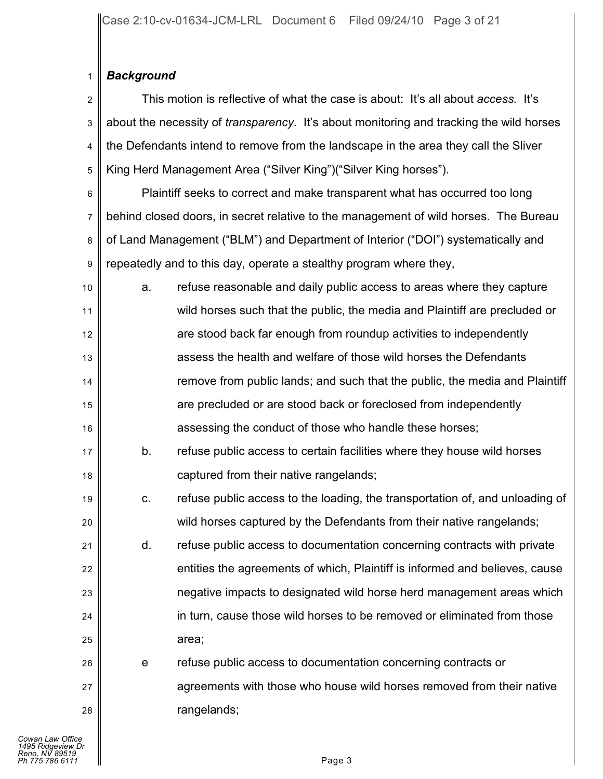### 1 *Background*

2 3 4 5 This motion is reflective of what the case is about: It's all about *access.* It's about the necessity of *transparency*. It's about monitoring and tracking the wild horses the Defendants intend to remove from the landscape in the area they call the Sliver King Herd Management Area ("Silver King")("Silver King horses").

6

17

18

19

20

21

26

27

28

7 8 9 Plaintiff seeks to correct and make transparent what has occurred too long behind closed doors, in secret relative to the management of wild horses. The Bureau of Land Management ("BLM") and Department of Interior ("DOI") systematically and repeatedly and to this day, operate a stealthy program where they,

10 11 12 13 14 15 16 a. refuse reasonable and daily public access to areas where they capture wild horses such that the public, the media and Plaintiff are precluded or are stood back far enough from roundup activities to independently assess the health and welfare of those wild horses the Defendants remove from public lands; and such that the public, the media and Plaintiff are precluded or are stood back or foreclosed from independently assessing the conduct of those who handle these horses;

b. refuse public access to certain facilities where they house wild horses captured from their native rangelands;

c. refuse public access to the loading, the transportation of, and unloading of wild horses captured by the Defendants from their native rangelands;

22 23 24 25 d. refuse public access to documentation concerning contracts with private entities the agreements of which, Plaintiff is informed and believes, cause negative impacts to designated wild horse herd management areas which in turn, cause those wild horses to be removed or eliminated from those area;

e refuse public access to documentation concerning contracts or agreements with those who house wild horses removed from their native rangelands;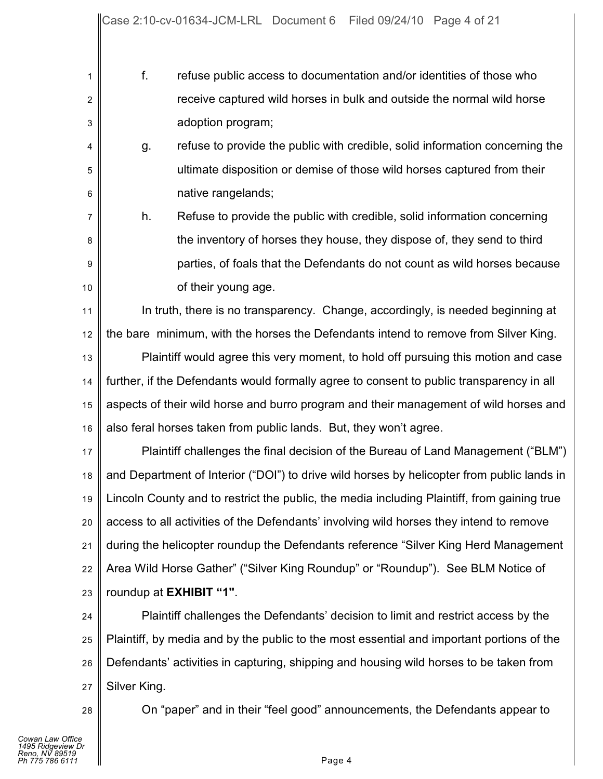1 2 3 f. refuse public access to documentation and/or identities of those who receive captured wild horses in bulk and outside the normal wild horse adoption program;

4 5 6 g. refuse to provide the public with credible, solid information concerning the ultimate disposition or demise of those wild horses captured from their native rangelands;

h. Refuse to provide the public with credible, solid information concerning the inventory of horses they house, they dispose of, they send to third parties, of foals that the Defendants do not count as wild horses because of their young age.

11 12 13 14 15 In truth, there is no transparency. Change, accordingly, is needed beginning at the bare minimum, with the horses the Defendants intend to remove from Silver King. Plaintiff would agree this very moment, to hold off pursuing this motion and case further, if the Defendants would formally agree to consent to public transparency in all aspects of their wild horse and burro program and their management of wild horses and

16 also feral horses taken from public lands. But, they won't agree.

17 18 19 20 21 22 23 Plaintiff challenges the final decision of the Bureau of Land Management ("BLM") and Department of Interior ("DOI") to drive wild horses by helicopter from public lands in Lincoln County and to restrict the public, the media including Plaintiff, from gaining true access to all activities of the Defendants' involving wild horses they intend to remove during the helicopter roundup the Defendants reference "Silver King Herd Management Area Wild Horse Gather" ("Silver King Roundup" or "Roundup"). See BLM Notice of roundup at **EXHIBIT "1"**.

24 25 26 27 Plaintiff challenges the Defendants' decision to limit and restrict access by the Plaintiff, by media and by the public to the most essential and important portions of the Defendants' activities in capturing, shipping and housing wild horses to be taken from Silver King.

28

7

8

9

10

On "paper" and in their "feel good" announcements, the Defendants appear to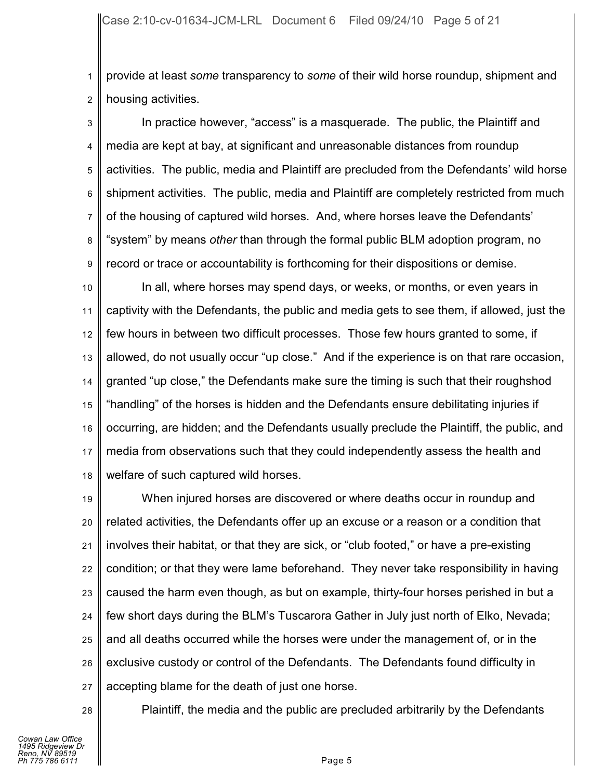1 2 provide at least *some* transparency to *some* of their wild horse roundup, shipment and housing activities.

3 4 5 6 7 8 9 In practice however, "access" is a masquerade. The public, the Plaintiff and media are kept at bay, at significant and unreasonable distances from roundup activities. The public, media and Plaintiff are precluded from the Defendants' wild horse shipment activities. The public, media and Plaintiff are completely restricted from much of the housing of captured wild horses. And, where horses leave the Defendants' "system" by means *other* than through the formal public BLM adoption program, no record or trace or accountability is forthcoming for their dispositions or demise.

10 11 12 13 14 15 16 17 18 In all, where horses may spend days, or weeks, or months, or even years in captivity with the Defendants, the public and media gets to see them, if allowed, just the few hours in between two difficult processes. Those few hours granted to some, if allowed, do not usually occur "up close." And if the experience is on that rare occasion, granted "up close," the Defendants make sure the timing is such that their roughshod "handling" of the horses is hidden and the Defendants ensure debilitating injuries if occurring, are hidden; and the Defendants usually preclude the Plaintiff, the public, and media from observations such that they could independently assess the health and welfare of such captured wild horses.

19 20 21 22 23 24 25 26 27 When injured horses are discovered or where deaths occur in roundup and related activities, the Defendants offer up an excuse or a reason or a condition that involves their habitat, or that they are sick, or "club footed," or have a pre-existing condition; or that they were lame beforehand. They never take responsibility in having caused the harm even though, as but on example, thirty-four horses perished in but a few short days during the BLM's Tuscarora Gather in July just north of Elko, Nevada; and all deaths occurred while the horses were under the management of, or in the exclusive custody or control of the Defendants. The Defendants found difficulty in accepting blame for the death of just one horse.

28

Plaintiff, the media and the public are precluded arbitrarily by the Defendants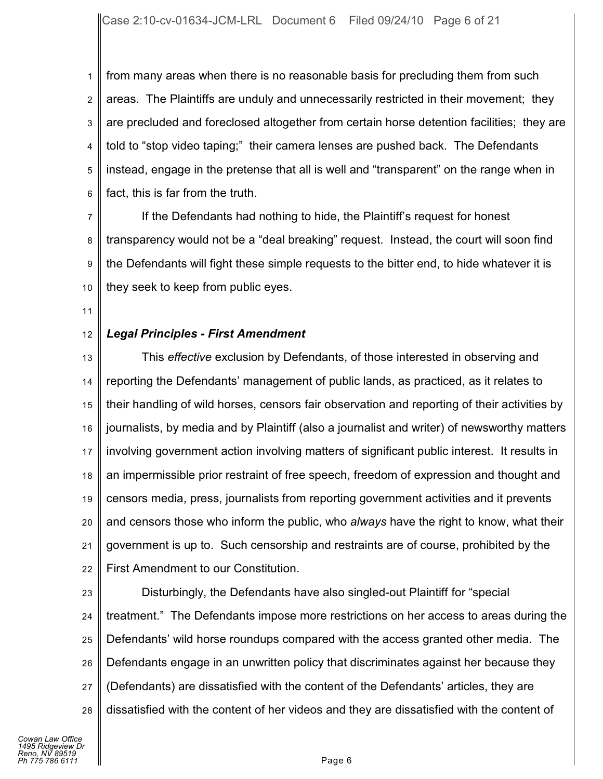1 2 3 4 5 6 from many areas when there is no reasonable basis for precluding them from such areas. The Plaintiffs are unduly and unnecessarily restricted in their movement; they are precluded and foreclosed altogether from certain horse detention facilities; they are told to "stop video taping;" their camera lenses are pushed back. The Defendants instead, engage in the pretense that all is well and "transparent" on the range when in fact, this is far from the truth.

7 8 9 10 If the Defendants had nothing to hide, the Plaintiff's request for honest transparency would not be a "deal breaking" request. Instead, the court will soon find the Defendants will fight these simple requests to the bitter end, to hide whatever it is they seek to keep from public eyes.

11

#### 12 *Legal Principles - First Amendment*

13 14 15 16 17 18 19 20 21 22 This *effective* exclusion by Defendants, of those interested in observing and reporting the Defendants' management of public lands, as practiced, as it relates to their handling of wild horses, censors fair observation and reporting of their activities by journalists, by media and by Plaintiff (also a journalist and writer) of newsworthy matters involving government action involving matters of significant public interest. It results in an impermissible prior restraint of free speech, freedom of expression and thought and censors media, press, journalists from reporting government activities and it prevents and censors those who inform the public, who *always* have the right to know, what their government is up to. Such censorship and restraints are of course, prohibited by the First Amendment to our Constitution.

23

24 25 26 27 28 Disturbingly, the Defendants have also singled-out Plaintiff for "special treatment." The Defendants impose more restrictions on her access to areas during the Defendants' wild horse roundups compared with the access granted other media. The Defendants engage in an unwritten policy that discriminates against her because they (Defendants) are dissatisfied with the content of the Defendants' articles, they are dissatisfied with the content of her videos and they are dissatisfied with the content of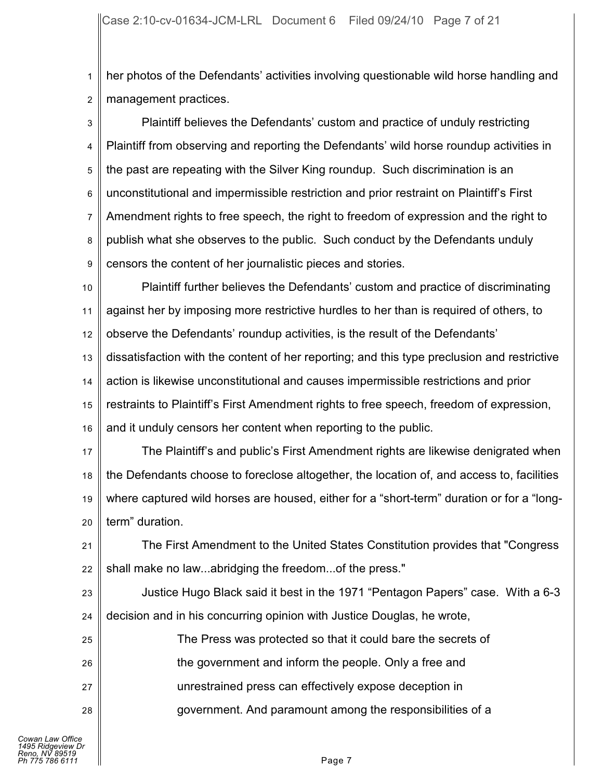1 2 her photos of the Defendants' activities involving questionable wild horse handling and management practices.

3 4 5 6 7 8 9 Plaintiff believes the Defendants' custom and practice of unduly restricting Plaintiff from observing and reporting the Defendants' wild horse roundup activities in the past are repeating with the Silver King roundup. Such discrimination is an unconstitutional and impermissible restriction and prior restraint on Plaintiff's First Amendment rights to free speech, the right to freedom of expression and the right to publish what she observes to the public. Such conduct by the Defendants unduly censors the content of her journalistic pieces and stories.

10 11 12 13 14 15 16 Plaintiff further believes the Defendants' custom and practice of discriminating against her by imposing more restrictive hurdles to her than is required of others, to observe the Defendants' roundup activities, is the result of the Defendants' dissatisfaction with the content of her reporting; and this type preclusion and restrictive action is likewise unconstitutional and causes impermissible restrictions and prior restraints to Plaintiff's First Amendment rights to free speech, freedom of expression, and it unduly censors her content when reporting to the public.

17 18 19 20 The Plaintiff's and public's First Amendment rights are likewise denigrated when the Defendants choose to foreclose altogether, the location of, and access to, facilities where captured wild horses are housed, either for a "short-term" duration or for a "longterm" duration.

21 22 The First Amendment to the United States Constitution provides that "Congress shall make no law...abridging the freedom...of the press."

23 24 Justice Hugo Black said it best in the 1971 "Pentagon Papers" case. With a 6-3 decision and in his concurring opinion with Justice Douglas, he wrote,

| 25 | The Press was protected so that it could bare the secrets of |
|----|--------------------------------------------------------------|
| 26 | the government and inform the people. Only a free and        |
| 27 | unrestrained press can effectively expose deception in       |
| 28 | government. And paramount among the responsibilities of a    |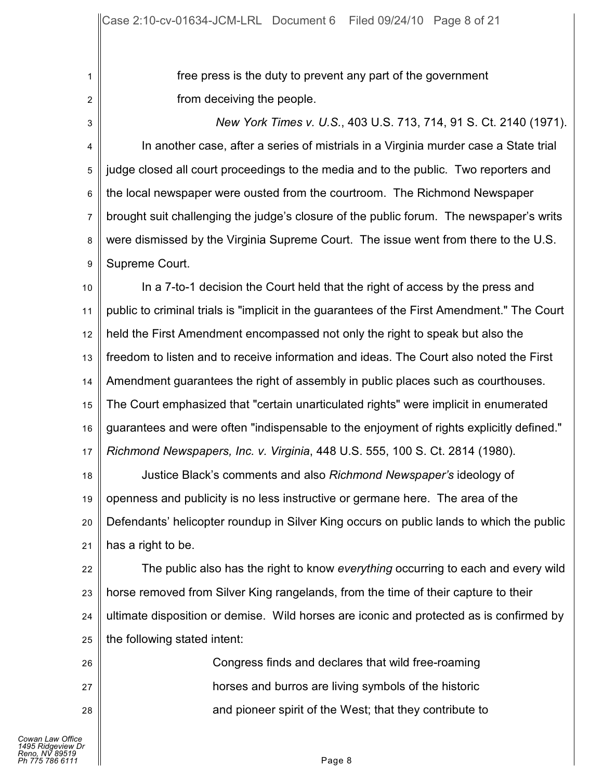free press is the duty to prevent any part of the government from deceiving the people.

3 4 5 6 7 8 9 *New York Times v. U.S.*, 403 U.S. 713, 714, 91 S. Ct. 2140 (1971). In another case, after a series of mistrials in a Virginia murder case a State trial judge closed all court proceedings to the media and to the public. Two reporters and the local newspaper were ousted from the courtroom. The Richmond Newspaper brought suit challenging the judge's closure of the public forum. The newspaper's writs were dismissed by the Virginia Supreme Court. The issue went from there to the U.S. Supreme Court.

10 11 12 13 14 15 16 17 In a 7-to-1 decision the Court held that the right of access by the press and public to criminal trials is "implicit in the guarantees of the First Amendment." The Court held the First Amendment encompassed not only the right to speak but also the freedom to listen and to receive information and ideas. The Court also noted the First Amendment guarantees the right of assembly in public places such as courthouses. The Court emphasized that "certain unarticulated rights" were implicit in enumerated guarantees and were often "indispensable to the enjoyment of rights explicitly defined." *Richmond Newspapers, Inc. v. Virginia*, 448 U.S. 555, 100 S. Ct. 2814 (1980).

18 19 20 21 Justice Black's comments and also *Richmond Newspaper's* ideology of openness and publicity is no less instructive or germane here. The area of the Defendants' helicopter roundup in Silver King occurs on public lands to which the public has a right to be.

22 23 24 25 The public also has the right to know *everything* occurring to each and every wild horse removed from Silver King rangelands, from the time of their capture to their ultimate disposition or demise. Wild horses are iconic and protected as is confirmed by the following stated intent:

> Congress finds and declares that wild free-roaming horses and burros are living symbols of the historic and pioneer spirit of the West; that they contribute to

26

27

28

1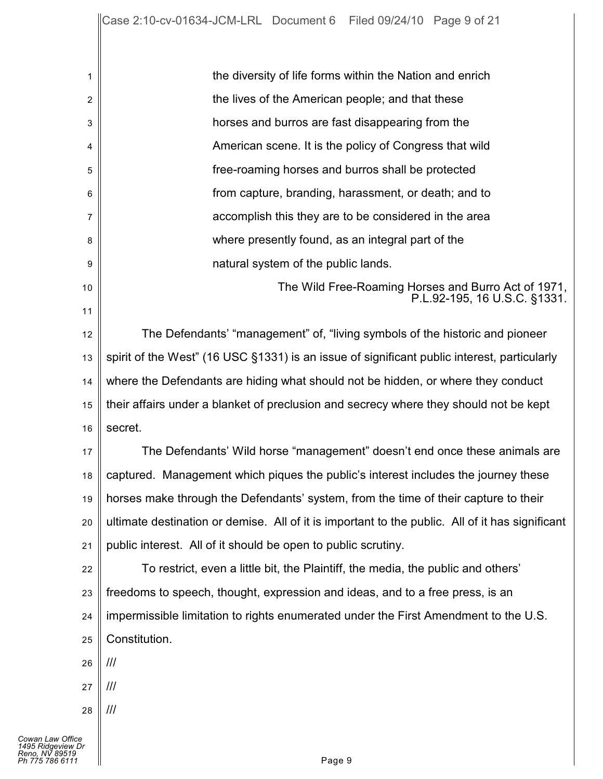| 1        | the diversity of life forms within the Nation and enrich                                        |
|----------|-------------------------------------------------------------------------------------------------|
| 2        | the lives of the American people; and that these                                                |
| 3        | horses and burros are fast disappearing from the                                                |
| 4        | American scene. It is the policy of Congress that wild                                          |
| 5        | free-roaming horses and burros shall be protected                                               |
| 6        | from capture, branding, harassment, or death; and to                                            |
| 7        | accomplish this they are to be considered in the area                                           |
| 8        | where presently found, as an integral part of the                                               |
| 9        | natural system of the public lands.                                                             |
| 10<br>11 | The Wild Free-Roaming Horses and Burro Act of 1971,<br>P.L.92-195, 16 U.S.C. §1331.             |
| 12       | The Defendants' "management" of, "living symbols of the historic and pioneer                    |
| 13       | spirit of the West" (16 USC §1331) is an issue of significant public interest, particularly     |
| 14       | where the Defendants are hiding what should not be hidden, or where they conduct                |
| 15       | their affairs under a blanket of preclusion and secrecy where they should not be kept           |
| 16       | secret.                                                                                         |
| 17       | The Defendants' Wild horse "management" doesn't end once these animals are                      |
| 18       | captured. Management which piques the public's interest includes the journey these              |
| 19       | horses make through the Defendants' system, from the time of their capture to their             |
| 20       | ultimate destination or demise. All of it is important to the public. All of it has significant |
| 21       | public interest. All of it should be open to public scrutiny.                                   |
| 22       | To restrict, even a little bit, the Plaintiff, the media, the public and others'                |
| 23       | freedoms to speech, thought, expression and ideas, and to a free press, is an                   |
| 24       | impermissible limitation to rights enumerated under the First Amendment to the U.S.             |
| 25       | Constitution.                                                                                   |
| 26       | ///                                                                                             |
| 27       | ///                                                                                             |
| 28       | ///                                                                                             |
|          |                                                                                                 |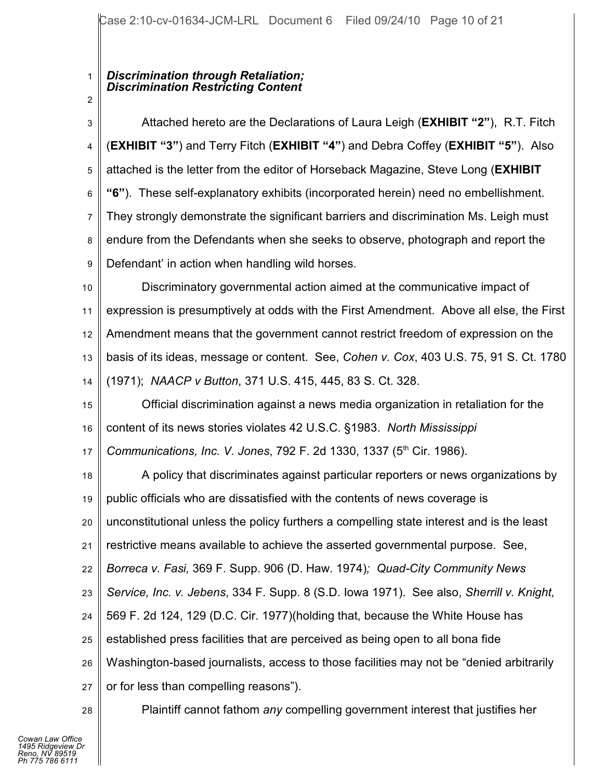# *Discrimination through Retaliation; Discrimination Restricting Content*

1

2

3 4 5 6 7 8 9 10 11 12 13 14 15 16 17 18 19 20 21 22 23 24 25 26 27 28 Attached hereto are the Declarations of Laura Leigh (**EXHIBIT "2"**), R.T. Fitch (**EXHIBIT "3"**) and Terry Fitch (**EXHIBIT "4"**) and Debra Coffey (**EXHIBIT "5"**). Also attached is the letter from the editor of Horseback Magazine, Steve Long (**EXHIBIT "6"**). These self-explanatory exhibits (incorporated herein) need no embellishment. They strongly demonstrate the significant barriers and discrimination Ms. Leigh must endure from the Defendants when she seeks to observe, photograph and report the Defendant' in action when handling wild horses. Discriminatory governmental action aimed at the communicative impact of expression is presumptively at odds with the First Amendment. Above all else, the First Amendment means that the government cannot restrict freedom of expression on the basis of its ideas, message or content. See, *Cohen v. Cox*, 403 U.S. 75, 91 S. Ct. 1780 (1971); *NAACP v Button*, 371 U.S. 415, 445, 83 S. Ct. 328. Official discrimination against a news media organization in retaliation for the content of its news stories violates 42 U.S.C. §1983. *North Mississippi Communications, Inc. V. Jones, 792 F. 2d 1330, 1337 (5<sup>th</sup> Cir. 1986).* A policy that discriminates against particular reporters or news organizations by public officials who are dissatisfied with the contents of news coverage is unconstitutional unless the policy furthers a compelling state interest and is the least restrictive means available to achieve the asserted governmental purpose. See, *Borreca v. Fasi,* 369 F. Supp. 906 (D. Haw. 1974)*; Quad-City Community News Service, Inc. v. Jebens*, 334 F. Supp. 8 (S.D. Iowa 1971). See also, *Sherrill v. Knight,* 569 F. 2d 124, 129 (D.C. Cir. 1977)(holding that, because the White House has established press facilities that are perceived as being open to all bona fide Washington-based journalists, access to those facilities may not be "denied arbitrarily or for less than compelling reasons"). Plaintiff cannot fathom *any* compelling government interest that justifies her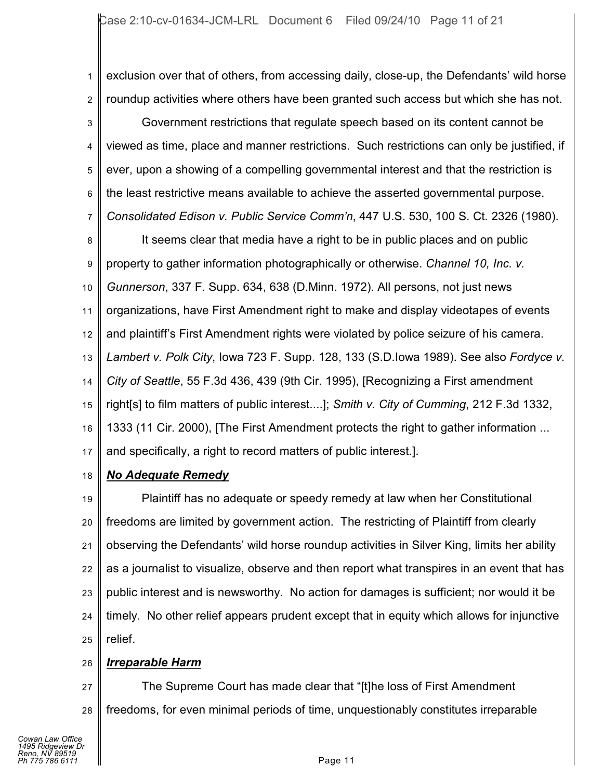1 2 3 4 5 6 7 exclusion over that of others, from accessing daily, close-up, the Defendants' wild horse roundup activities where others have been granted such access but which she has not. Government restrictions that regulate speech based on its content cannot be viewed as time, place and manner restrictions. Such restrictions can only be justified, if ever, upon a showing of a compelling governmental interest and that the restriction is the least restrictive means available to achieve the asserted governmental purpose. *Consolidated Edison v. Public Service Comm'n*, 447 U.S. 530, 100 S. Ct. 2326 (1980).

8 9 10 11 12 13 14 15 16 17 It seems clear that media have a right to be in public places and on public property to gather information photographically or otherwise. *Channel 10, Inc. v. Gunnerson*, 337 F. Supp. 634, 638 (D.Minn. 1972). All persons, not just news organizations, have First Amendment right to make and display videotapes of events and plaintiff's First Amendment rights were violated by police seizure of his camera. *Lambert v. Polk City*, Iowa 723 F. Supp. 128, 133 (S.D.Iowa 1989). See also *Fordyce v. City of Seattle*, 55 F.3d 436, 439 (9th Cir. 1995), [Recognizing a First amendment right[s] to film matters of public interest....]; *Smith v. City of Cumming*, 212 F.3d 1332, 1333 (11 Cir. 2000), [The First Amendment protects the right to gather information ... and specifically, a right to record matters of public interest.].

18 *No Adequate Remedy*

19 20 21 22 23 24 25 Plaintiff has no adequate or speedy remedy at law when her Constitutional freedoms are limited by government action. The restricting of Plaintiff from clearly observing the Defendants' wild horse roundup activities in Silver King, limits her ability as a journalist to visualize, observe and then report what transpires in an event that has public interest and is newsworthy. No action for damages is sufficient; nor would it be timely. No other relief appears prudent except that in equity which allows for injunctive relief.

### 26 *Irreparable Harm*

27 28 The Supreme Court has made clear that "[t]he loss of First Amendment freedoms, for even minimal periods of time, unquestionably constitutes irreparable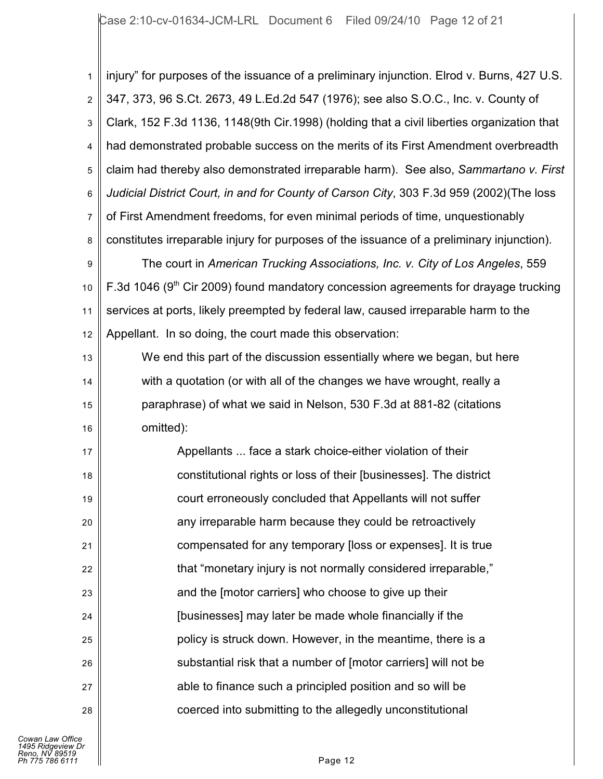1 2 3 4 5 6 7 8 9 injury" for purposes of the issuance of a preliminary injunction. Elrod v. Burns, 427 U.S. 347, 373, 96 S.Ct. 2673, 49 L.Ed.2d 547 (1976); see also S.O.C., Inc. v. County of Clark, 152 F.3d 1136, 1148(9th Cir.1998) (holding that a civil liberties organization that had demonstrated probable success on the merits of its First Amendment overbreadth claim had thereby also demonstrated irreparable harm). See also, *Sammartano v. First Judicial District Court, in and for County of Carson City*, 303 F.3d 959 (2002)(The loss of First Amendment freedoms, for even minimal periods of time, unquestionably constitutes irreparable injury for purposes of the issuance of a preliminary injunction). The court in *American Trucking Associations, Inc. v. City of Los Angeles*, 559

10 11 12 F.3d 1046 ( $9<sup>th</sup>$  Cir 2009) found mandatory concession agreements for drayage trucking services at ports, likely preempted by federal law, caused irreparable harm to the Appellant. In so doing, the court made this observation:

13 14 15 16 We end this part of the discussion essentially where we began, but here with a quotation (or with all of the changes we have wrought, really a paraphrase) of what we said in Nelson, 530 F.3d at 881-82 (citations omitted):

17 18 19 20 21 22 23 24 25 26 27 28 Appellants ... face a stark choice-either violation of their constitutional rights or loss of their [businesses]. The district court erroneously concluded that Appellants will not suffer any irreparable harm because they could be retroactively compensated for any temporary [loss or expenses]. It is true that "monetary injury is not normally considered irreparable," and the [motor carriers] who choose to give up their [businesses] may later be made whole financially if the policy is struck down. However, in the meantime, there is a substantial risk that a number of [motor carriers] will not be able to finance such a principled position and so will be coerced into submitting to the allegedly unconstitutional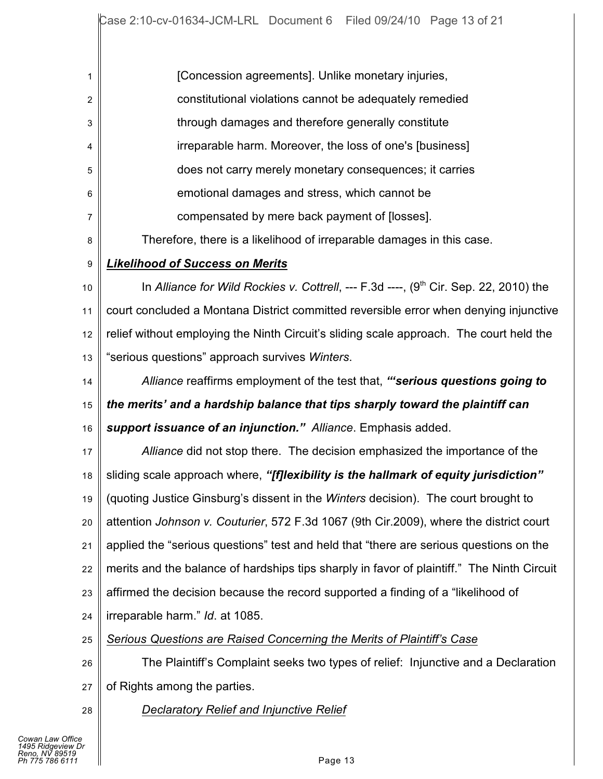| 1  | [Concession agreements]. Unlike monetary injuries,                                         |
|----|--------------------------------------------------------------------------------------------|
| 2  | constitutional violations cannot be adequately remedied                                    |
| 3  | through damages and therefore generally constitute                                         |
| 4  | irreparable harm. Moreover, the loss of one's [business]                                   |
| 5  | does not carry merely monetary consequences; it carries                                    |
| 6  | emotional damages and stress, which cannot be                                              |
| 7  | compensated by mere back payment of [losses].                                              |
| 8  | Therefore, there is a likelihood of irreparable damages in this case.                      |
| 9  | <b>Likelihood of Success on Merits</b>                                                     |
| 10 | In Alliance for Wild Rockies v. Cottrell, --- F.3d ----, $(9th$ Cir. Sep. 22, 2010) the    |
| 11 | court concluded a Montana District committed reversible error when denying injunctive      |
| 12 | relief without employing the Ninth Circuit's sliding scale approach. The court held the    |
| 13 | "serious questions" approach survives Winters.                                             |
| 14 | Alliance reaffirms employment of the test that, "serious questions going to                |
| 15 | the merits' and a hardship balance that tips sharply toward the plaintiff can              |
| 16 | support issuance of an injunction." Alliance. Emphasis added.                              |
| 17 | Alliance did not stop there. The decision emphasized the importance of the                 |
| 18 | sliding scale approach where, "[f]lexibility is the hallmark of equity jurisdiction"       |
| 19 | (quoting Justice Ginsburg's dissent in the Winters decision). The court brought to         |
| 20 | attention Johnson v. Couturier, 572 F.3d 1067 (9th Cir.2009), where the district court     |
| 21 | applied the "serious questions" test and held that "there are serious questions on the     |
| 22 | merits and the balance of hardships tips sharply in favor of plaintiff." The Ninth Circuit |
| 23 | affirmed the decision because the record supported a finding of a "likelihood of           |
| 24 | irreparable harm." Id. at 1085.                                                            |
| 25 | Serious Questions are Raised Concerning the Merits of Plaintiff's Case                     |
| 26 | The Plaintiff's Complaint seeks two types of relief: Injunctive and a Declaration          |
| 27 | of Rights among the parties.                                                               |
| 28 | <b>Declaratory Relief and Injunctive Relief</b>                                            |
|    |                                                                                            |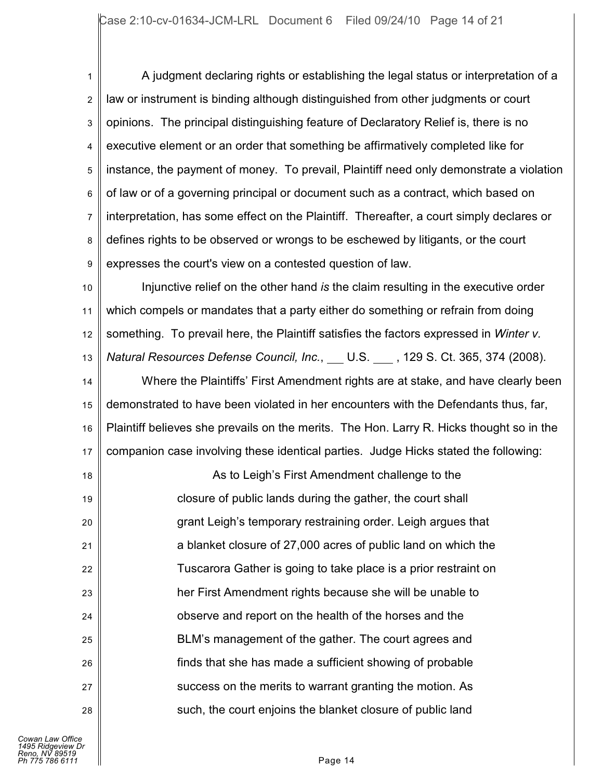1 2 3 4 5 6 7 8 9 A judgment declaring rights or establishing the legal status or interpretation of a law or instrument is binding although distinguished from other judgments or court opinions. The principal distinguishing feature of Declaratory Relief is, there is no executive element or an order that something be affirmatively completed like for instance, the payment of money. To prevail, Plaintiff need only demonstrate a violation of law or of a governing principal or document such as a contract, which based on interpretation, has some effect on the Plaintiff. Thereafter, a court simply declares or defines rights to be observed or wrongs to be eschewed by litigants, or the court expresses the court's view on a contested question of law.

10 11 12 13 Injunctive relief on the other hand *is* the claim resulting in the executive order which compels or mandates that a party either do something or refrain from doing something. To prevail here, the Plaintiff satisfies the factors expressed in *Winter v. Natural Resources Defense Council, Inc.,* U.S., 129 S. Ct. 365, 374 (2008).

14 15 16 17 Where the Plaintiffs' First Amendment rights are at stake, and have clearly been demonstrated to have been violated in her encounters with the Defendants thus, far, Plaintiff believes she prevails on the merits. The Hon. Larry R. Hicks thought so in the companion case involving these identical parties. Judge Hicks stated the following:

18 19 20 21 22 23 24 25 26 27 28 As to Leigh's First Amendment challenge to the closure of public lands during the gather, the court shall grant Leigh's temporary restraining order. Leigh argues that a blanket closure of 27,000 acres of public land on which the Tuscarora Gather is going to take place is a prior restraint on her First Amendment rights because she will be unable to observe and report on the health of the horses and the BLM's management of the gather. The court agrees and finds that she has made a sufficient showing of probable success on the merits to warrant granting the motion. As such, the court enjoins the blanket closure of public land

*Cowan Law Office 1495 Ridgeview Dr Reno, NV 89519 Ph 775 786 6111* Page 14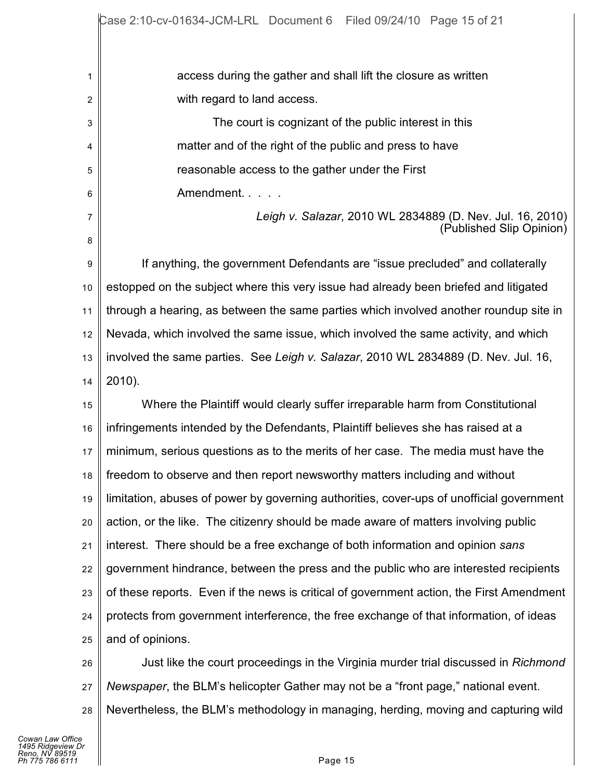access during the gather and shall lift the closure as written with regard to land access.

The court is cognizant of the public interest in this matter and of the right of the public and press to have reasonable access to the gather under the First Amendment. . . . .

> *Leigh v. Salazar*, 2010 WL 2834889 (D. Nev. Jul. 16, 2010) (Published Slip Opinion)

9 10 11 12 13 14 If anything, the government Defendants are "issue precluded" and collaterally estopped on the subject where this very issue had already been briefed and litigated through a hearing, as between the same parties which involved another roundup site in Nevada, which involved the same issue, which involved the same activity, and which involved the same parties. See *Leigh v. Salazar*, 2010 WL 2834889 (D. Nev. Jul. 16, 2010).

15 16 17 18 19 20 21 22 23 24 25 Where the Plaintiff would clearly suffer irreparable harm from Constitutional infringements intended by the Defendants, Plaintiff believes she has raised at a minimum, serious questions as to the merits of her case. The media must have the freedom to observe and then report newsworthy matters including and without limitation, abuses of power by governing authorities, cover-ups of unofficial government action, or the like. The citizenry should be made aware of matters involving public interest. There should be a free exchange of both information and opinion *sans* government hindrance, between the press and the public who are interested recipients of these reports. Even if the news is critical of government action, the First Amendment protects from government interference, the free exchange of that information, of ideas and of opinions.

26 27 28 Just like the court proceedings in the Virginia murder trial discussed in *Richmond Newspaper*, the BLM's helicopter Gather may not be a "front page," national event. Nevertheless, the BLM's methodology in managing, herding, moving and capturing wild

1

2

3

4

5

6

7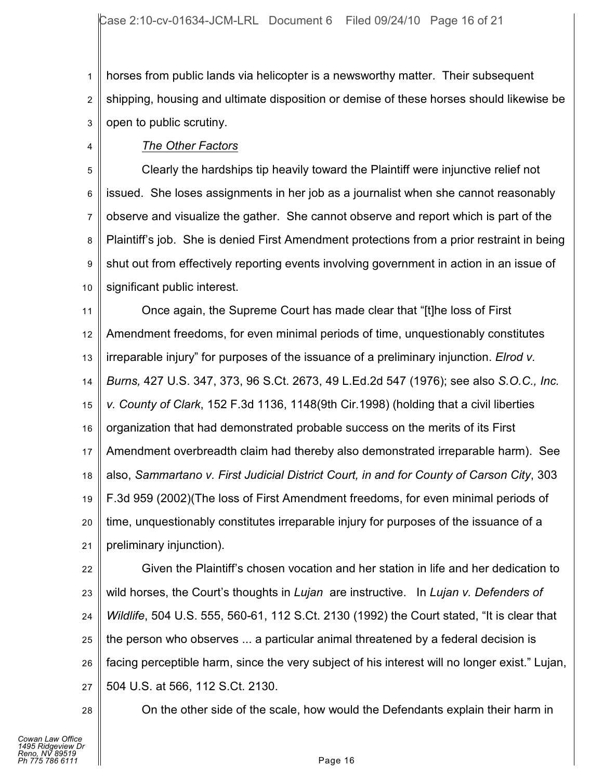1 2 3 horses from public lands via helicopter is a newsworthy matter. Their subsequent shipping, housing and ultimate disposition or demise of these horses should likewise be open to public scrutiny.

4

# *The Other Factors*

5 6 7 8 9 10 Clearly the hardships tip heavily toward the Plaintiff were injunctive relief not issued. She loses assignments in her job as a journalist when she cannot reasonably observe and visualize the gather. She cannot observe and report which is part of the Plaintiff's job. She is denied First Amendment protections from a prior restraint in being shut out from effectively reporting events involving government in action in an issue of significant public interest.

11 12 13 14 15 16 17 18 19 20 21 Once again, the Supreme Court has made clear that "[t]he loss of First Amendment freedoms, for even minimal periods of time, unquestionably constitutes irreparable injury" for purposes of the issuance of a preliminary injunction. *Elrod v. Burns,* 427 U.S. 347, 373, 96 S.Ct. 2673, 49 L.Ed.2d 547 (1976); see also *S.O.C., Inc. v. County of Clark*, 152 F.3d 1136, 1148(9th Cir.1998) (holding that a civil liberties organization that had demonstrated probable success on the merits of its First Amendment overbreadth claim had thereby also demonstrated irreparable harm). See also, *Sammartano v. First Judicial District Court, in and for County of Carson City*, 303 F.3d 959 (2002)(The loss of First Amendment freedoms, for even minimal periods of time, unquestionably constitutes irreparable injury for purposes of the issuance of a preliminary injunction).

22 23 24 25 26 27 Given the Plaintiff's chosen vocation and her station in life and her dedication to wild horses, the Court's thoughts in *Lujan* are instructive. In *Lujan v. Defenders of Wildlife*, 504 U.S. 555, 560-61, 112 S.Ct. 2130 (1992) the Court stated, "It is clear that the person who observes ... a particular animal threatened by a federal decision is facing perceptible harm, since the very subject of his interest will no longer exist." Lujan, 504 U.S. at 566, 112 S.Ct. 2130.

28

On the other side of the scale, how would the Defendants explain their harm in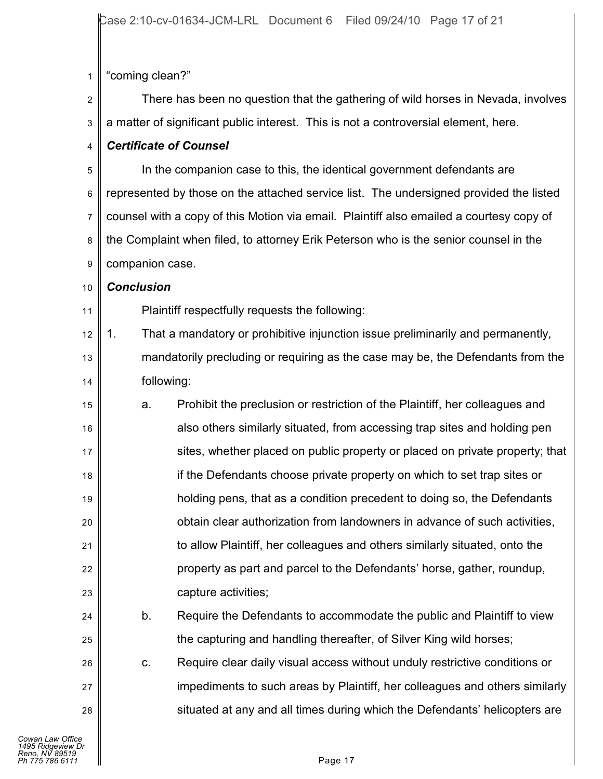1 "coming clean?"

2 3 There has been no question that the gathering of wild horses in Nevada, involves a matter of significant public interest. This is not a controversial element, here.

#### 4 *Certificate of Counsel*

5 6 7 8 9 In the companion case to this, the identical government defendants are represented by those on the attached service list. The undersigned provided the listed counsel with a copy of this Motion via email. Plaintiff also emailed a courtesy copy of the Complaint when filed, to attorney Erik Peterson who is the senior counsel in the companion case.

#### 10 *Conclusion*

11 Plaintiff respectfully requests the following:

- 12 13 14 1. That a mandatory or prohibitive injunction issue preliminarily and permanently, mandatorily precluding or requiring as the case may be, the Defendants from the following:
- 15 16 17 18 19 20 21 22 23 a. Prohibit the preclusion or restriction of the Plaintiff, her colleagues and also others similarly situated, from accessing trap sites and holding pen sites, whether placed on public property or placed on private property; that if the Defendants choose private property on which to set trap sites or holding pens, that as a condition precedent to doing so, the Defendants obtain clear authorization from landowners in advance of such activities, to allow Plaintiff, her colleagues and others similarly situated, onto the property as part and parcel to the Defendants' horse, gather, roundup, capture activities;
	- b. Require the Defendants to accommodate the public and Plaintiff to view the capturing and handling thereafter, of Silver King wild horses;
		- c. Require clear daily visual access without unduly restrictive conditions or impediments to such areas by Plaintiff, her colleagues and others similarly situated at any and all times during which the Defendants' helicopters are

24

25

26

27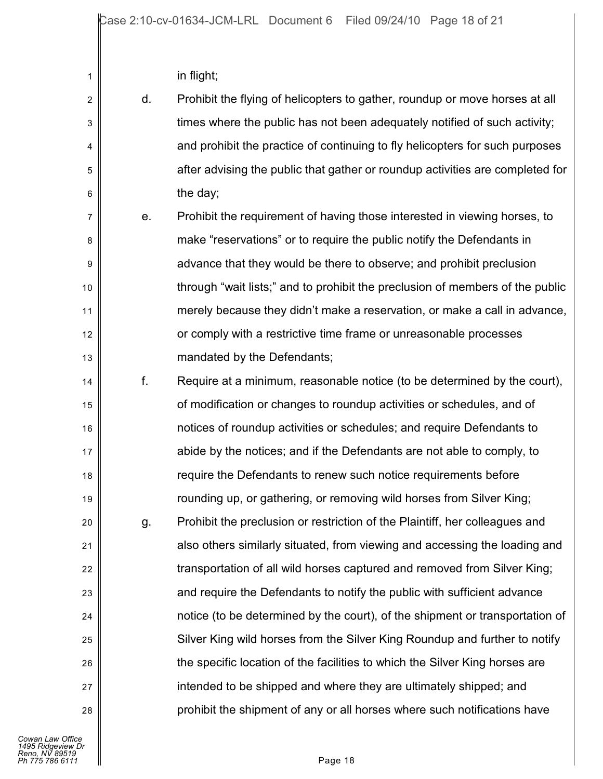| in flight; |  |
|------------|--|
|------------|--|

| $\overline{2}$ | d. | Prohibit the flying of helicopters to gather, roundup or move horses at all   |
|----------------|----|-------------------------------------------------------------------------------|
| 3              |    | times where the public has not been adequately notified of such activity;     |
| 4              |    | and prohibit the practice of continuing to fly helicopters for such purposes  |
| 5              |    | after advising the public that gather or roundup activities are completed for |
| 6              |    | the day;                                                                      |
| 7              | е. | Prohibit the requirement of having those interested in viewing horses, to     |
| 8              |    | make "reservations" or to require the public notify the Defendants in         |
| 9              |    | advance that they would be there to observe; and prohibit preclusion          |
| 10             |    | through "wait lists;" and to prohibit the preclusion of members of the public |
| 11             |    | merely because they didn't make a reservation, or make a call in advance,     |
| 12             |    | or comply with a restrictive time frame or unreasonable processes             |
| 13             |    | mandated by the Defendants;                                                   |
| 14             | f. | Require at a minimum, reasonable notice (to be determined by the court),      |
| 15             |    | of modification or changes to roundup activities or schedules, and of         |
| 16             |    | notices of roundup activities or schedules; and require Defendants to         |
| 17             |    | abide by the notices; and if the Defendants are not able to comply, to        |
| 18             |    | require the Defendants to renew such notice requirements before               |
| 19             |    | rounding up, or gathering, or removing wild horses from Silver King;          |
| 20             | g. | Prohibit the preclusion or restriction of the Plaintiff, her colleagues and   |
| 21             |    | also others similarly situated, from viewing and accessing the loading and    |
| 22             |    | transportation of all wild horses captured and removed from Silver King;      |
| 23             |    | and require the Defendants to notify the public with sufficient advance       |
| 24             |    | notice (to be determined by the court), of the shipment or transportation of  |
| 25             |    | Silver King wild horses from the Silver King Roundup and further to notify    |
| 26             |    | the specific location of the facilities to which the Silver King horses are   |
| 27             |    | intended to be shipped and where they are ultimately shipped; and             |
| 28             |    | prohibit the shipment of any or all horses where such notifications have      |
|                |    |                                                                               |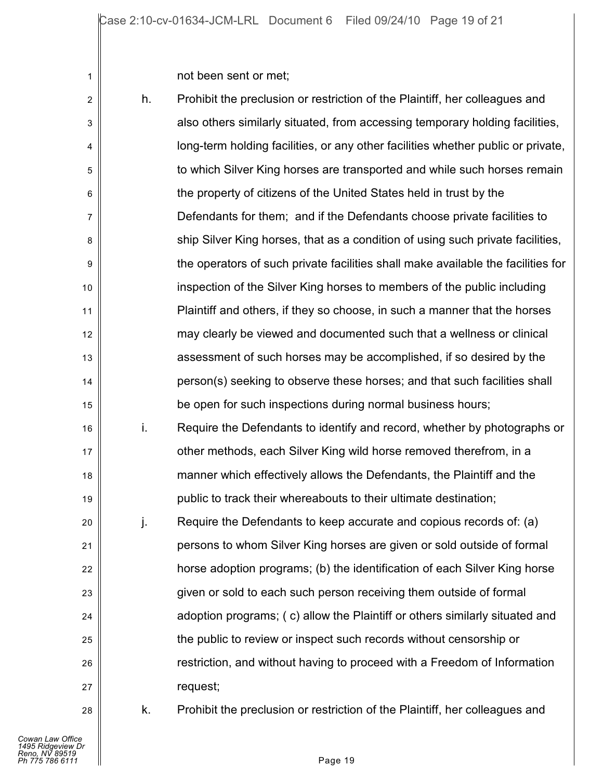not been sent or met;

| $\overline{2}$ | h. | Prohibit the preclusion or restriction of the Plaintiff, her colleagues and      |
|----------------|----|----------------------------------------------------------------------------------|
| 3              |    | also others similarly situated, from accessing temporary holding facilities,     |
| 4              |    | long-term holding facilities, or any other facilities whether public or private, |
| 5              |    | to which Silver King horses are transported and while such horses remain         |
| 6              |    | the property of citizens of the United States held in trust by the               |
| 7              |    | Defendants for them; and if the Defendants choose private facilities to          |
| 8              |    | ship Silver King horses, that as a condition of using such private facilities,   |
| 9              |    | the operators of such private facilities shall make available the facilities for |
| 10             |    | inspection of the Silver King horses to members of the public including          |
| 11             |    | Plaintiff and others, if they so choose, in such a manner that the horses        |
| 12             |    | may clearly be viewed and documented such that a wellness or clinical            |
| 13             |    | assessment of such horses may be accomplished, if so desired by the              |
| 14             |    | person(s) seeking to observe these horses; and that such facilities shall        |
| 15             |    | be open for such inspections during normal business hours;                       |
| 16             | i. | Require the Defendants to identify and record, whether by photographs or         |
| 17             |    | other methods, each Silver King wild horse removed therefrom, in a               |
| 18             |    | manner which effectively allows the Defendants, the Plaintiff and the            |
| 19             |    | public to track their whereabouts to their ultimate destination;                 |
| 20             | j. | Require the Defendants to keep accurate and copious records of: (a)              |
| 21             |    | persons to whom Silver King horses are given or sold outside of formal           |
| 22             |    | horse adoption programs; (b) the identification of each Silver King horse        |
| 23             |    | given or sold to each such person receiving them outside of formal               |
| 24             |    | adoption programs; (c) allow the Plaintiff or others similarly situated and      |
| 25             |    | the public to review or inspect such records without censorship or               |
| 26             |    | restriction, and without having to proceed with a Freedom of Information         |
| 27             |    | request;                                                                         |
| 28             | k. | Prohibit the preclusion or restriction of the Plaintiff, her colleagues and      |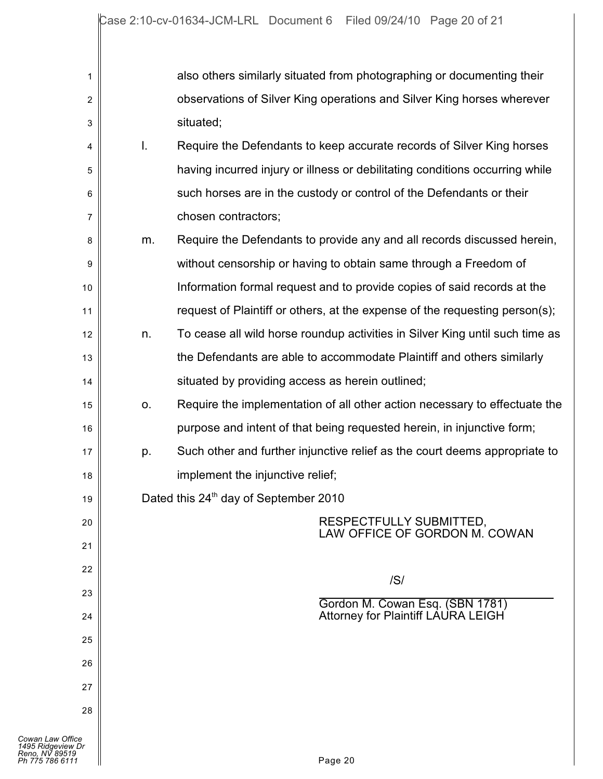| 1                                                                          |    | also others similarly situated from photographing or documenting their       |
|----------------------------------------------------------------------------|----|------------------------------------------------------------------------------|
| $\boldsymbol{2}$                                                           |    | observations of Silver King operations and Silver King horses wherever       |
| 3                                                                          |    | situated;                                                                    |
| 4                                                                          | I. | Require the Defendants to keep accurate records of Silver King horses        |
| 5                                                                          |    | having incurred injury or illness or debilitating conditions occurring while |
| 6                                                                          |    | such horses are in the custody or control of the Defendants or their         |
| 7                                                                          |    | chosen contractors;                                                          |
| 8                                                                          | m. | Require the Defendants to provide any and all records discussed herein,      |
| 9                                                                          |    | without censorship or having to obtain same through a Freedom of             |
| 10                                                                         |    | Information formal request and to provide copies of said records at the      |
| 11                                                                         |    | request of Plaintiff or others, at the expense of the requesting person(s);  |
| 12                                                                         | n. | To cease all wild horse roundup activities in Silver King until such time as |
| 13                                                                         |    | the Defendants are able to accommodate Plaintiff and others similarly        |
| 14                                                                         |    | situated by providing access as herein outlined;                             |
| 15                                                                         | 0. | Require the implementation of all other action necessary to effectuate the   |
| 16                                                                         |    | purpose and intent of that being requested herein, in injunctive form;       |
| 17                                                                         | p. | Such other and further injunctive relief as the court deems appropriate to   |
| 18                                                                         |    | implement the injunctive relief;                                             |
| 19                                                                         |    | Dated this 24 <sup>th</sup> day of September 2010                            |
| 20                                                                         |    | RESPECTFULLY SUBMITTED,<br>LAW OFFICE OF GORDON M. COWAN                     |
| 21                                                                         |    |                                                                              |
| 22                                                                         |    | /S/                                                                          |
| 23                                                                         |    | Gordon M. Cowan Esq. (SBN 1781)                                              |
| 24                                                                         |    | Attorney for Plaintiff LAURA LEIGH                                           |
| 25                                                                         |    |                                                                              |
| 26                                                                         |    |                                                                              |
| 27                                                                         |    |                                                                              |
| 28                                                                         |    |                                                                              |
| Cowan Law Office<br>1495 Ridgeview Dr<br>Reno, NV 89519<br>Ph 775 786 6111 |    | Page 20                                                                      |